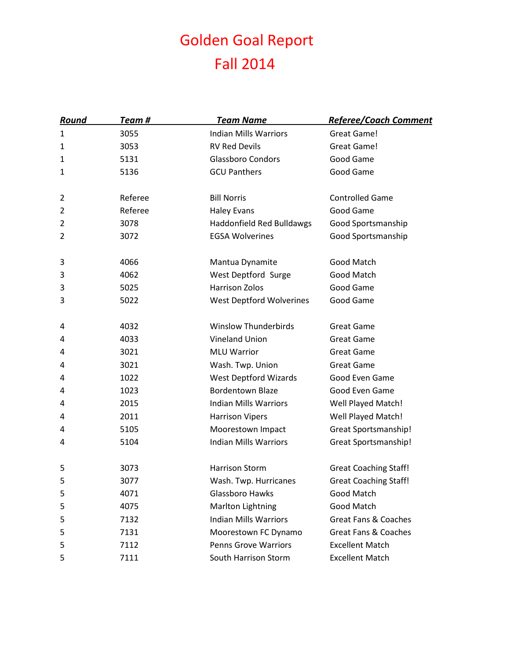## Golden Goal Report Fall 2014

| <u>Round</u> | Team #  | <b>Team Name</b>                                    | <b>Referee/Coach Comment</b>    |
|--------------|---------|-----------------------------------------------------|---------------------------------|
| 1            | 3055    | <b>Indian Mills Warriors</b>                        | Great Game!                     |
| 1            | 3053    | <b>RV Red Devils</b>                                | Great Game!                     |
| 1            | 5131    | <b>Glassboro Condors</b>                            | Good Game                       |
| 1            | 5136    | <b>GCU Panthers</b>                                 | Good Game                       |
|              |         |                                                     |                                 |
| 2            | Referee | <b>Bill Norris</b>                                  | <b>Controlled Game</b>          |
| 2            | Referee | <b>Haley Evans</b>                                  | Good Game                       |
| 2            | 3078    | <b>Haddonfield Red Bulldawgs</b>                    | Good Sportsmanship              |
| 2            | 3072    | <b>EGSA Wolverines</b>                              | Good Sportsmanship              |
| 3            | 4066    | Mantua Dynamite                                     | Good Match                      |
| 3            | 4062    | West Deptford Surge                                 | Good Match                      |
| 3            | 5025    | <b>Harrison Zolos</b>                               | Good Game                       |
| 3            | 5022    | <b>West Deptford Wolverines</b>                     | Good Game                       |
|              |         |                                                     |                                 |
| 4            | 4032    | <b>Winslow Thunderbirds</b>                         | <b>Great Game</b>               |
| 4            | 4033    | <b>Vineland Union</b>                               | <b>Great Game</b>               |
| 4            | 3021    | <b>MLU Warrior</b>                                  | <b>Great Game</b>               |
| 4            | 3021    | Wash. Twp. Union                                    | <b>Great Game</b>               |
| 4            | 1022    | <b>West Deptford Wizards</b>                        | Good Even Game                  |
| 4            | 1023    | <b>Bordentown Blaze</b>                             | Good Even Game                  |
| 4            | 2015    | <b>Indian Mills Warriors</b>                        | Well Played Match!              |
| 4            | 2011    | <b>Harrison Vipers</b>                              | Well Played Match!              |
| 4            | 5105    | Moorestown Impact                                   | <b>Great Sportsmanship!</b>     |
| 4            | 5104    | <b>Indian Mills Warriors</b>                        | <b>Great Sportsmanship!</b>     |
| 5            | 3073    | <b>Harrison Storm</b>                               | <b>Great Coaching Staff!</b>    |
| 5            | 3077    | Wash. Twp. Hurricanes                               | <b>Great Coaching Staff!</b>    |
| 5            | 4071    | Glassboro Hawks                                     | Good Match                      |
| 5            | 4075    | <b>Marlton Lightning</b>                            | Good Match                      |
| 5            | 7132    | <b>Indian Mills Warriors</b>                        | <b>Great Fans &amp; Coaches</b> |
|              | 7131    |                                                     | <b>Great Fans &amp; Coaches</b> |
| 5<br>5       | 7112    | Moorestown FC Dynamo<br><b>Penns Grove Warriors</b> | <b>Excellent Match</b>          |
|              | 7111    |                                                     |                                 |
| 5            |         | South Harrison Storm                                | <b>Excellent Match</b>          |